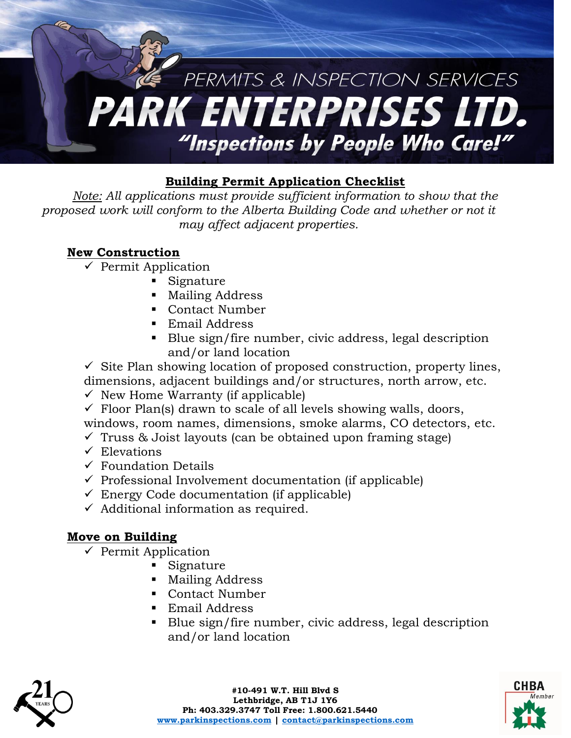

### **Building Permit Application Checklist**

*Note: All applications must provide sufficient information to show that the proposed work will conform to the Alberta Building Code and whether or not it may affect adjacent properties.*

### **New Construction**

- $\checkmark$  Permit Application
	- Signature
	- **Mailing Address**
	- Contact Number
	- Email Address
	- Blue sign/fire number, civic address, legal description and/or land location

 $\checkmark$  Site Plan showing location of proposed construction, property lines, dimensions, adjacent buildings and/or structures, north arrow, etc.

- $\checkmark$  New Home Warranty (if applicable)
- $\checkmark$  Floor Plan(s) drawn to scale of all levels showing walls, doors, windows, room names, dimensions, smoke alarms, CO detectors, etc.
- $\checkmark$  Truss & Joist layouts (can be obtained upon framing stage)
- $\checkmark$  Elevations
- $\checkmark$  Foundation Details
- $\checkmark$  Professional Involvement documentation (if applicable)
- $\checkmark$  Energy Code documentation (if applicable)
- $\checkmark$  Additional information as required.

#### **Move on Building**

- $\checkmark$  Permit Application
	- Signature
	- **Mailing Address**
	- Contact Number
	- Email Address
	- Blue sign/fire number, civic address, legal description and/or land location



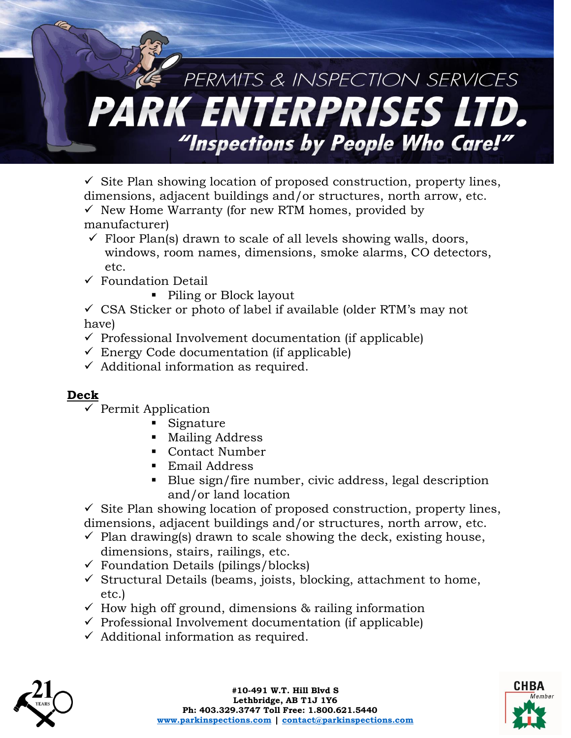# PERMITS & INSPECTION SERVICES PARK ENTERPRISES LTD. "Inspections by People Who Care!"

 $\checkmark$  Site Plan showing location of proposed construction, property lines, dimensions, adjacent buildings and/or structures, north arrow, etc.  $\checkmark$  New Home Warranty (for new RTM homes, provided by

- manufacturer)
- $\checkmark$  Floor Plan(s) drawn to scale of all levels showing walls, doors, windows, room names, dimensions, smoke alarms, CO detectors, etc.
- $\checkmark$  Foundation Detail
	- Piling or Block layout

 $\checkmark$  CSA Sticker or photo of label if available (older RTM's may not have)

- $\checkmark$  Professional Involvement documentation (if applicable)
- $\checkmark$  Energy Code documentation (if applicable)
- $\checkmark$  Additional information as required.

## **Deck**

- $\checkmark$  Permit Application
	- Signature
	- **Mailing Address**
	- Contact Number
	- Email Address
	- Blue sign/fire number, civic address, legal description and/or land location

 $\checkmark$  Site Plan showing location of proposed construction, property lines, dimensions, adjacent buildings and/or structures, north arrow, etc.

- $\checkmark$  Plan drawing(s) drawn to scale showing the deck, existing house, dimensions, stairs, railings, etc.
- $\checkmark$  Foundation Details (pilings/blocks)
- $\checkmark$  Structural Details (beams, joists, blocking, attachment to home, etc.)
- $\checkmark$  How high off ground, dimensions & railing information
- $\checkmark$  Professional Involvement documentation (if applicable)
- $\checkmark$  Additional information as required.